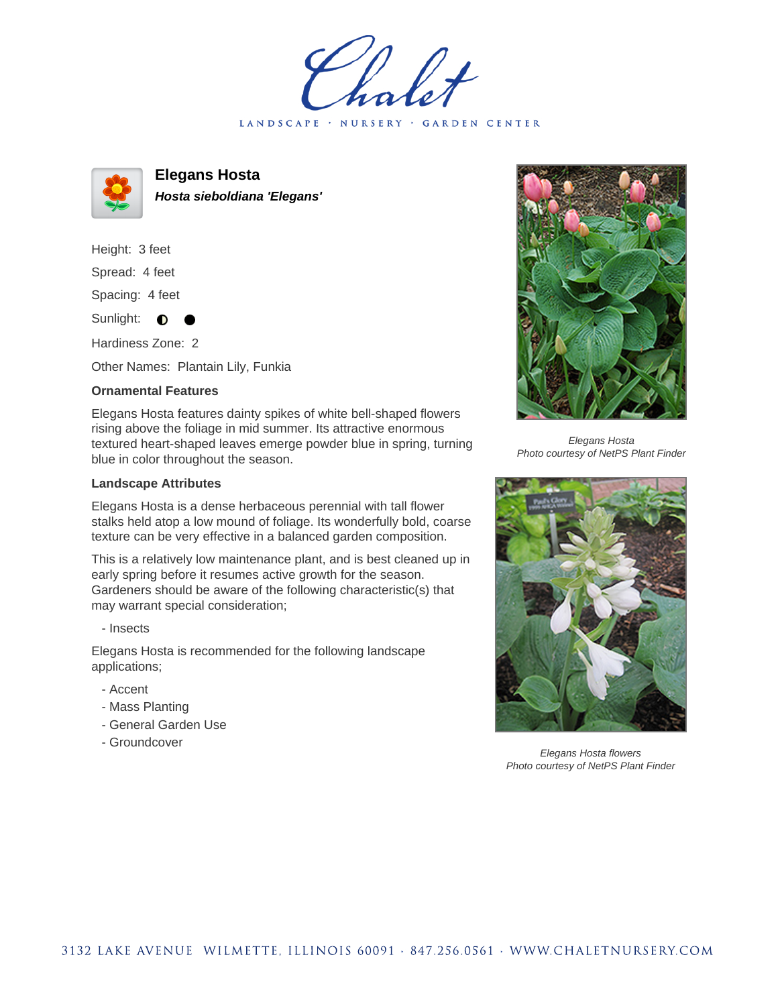LANDSCAPE · NURSERY · GARDEN CENTER



**Elegans Hosta Hosta sieboldiana 'Elegans'**

Height: 3 feet

Spread: 4 feet

Spacing: 4 feet

Sunlight:  $\bullet$ 

Hardiness Zone: 2

Other Names: Plantain Lily, Funkia

## **Ornamental Features**

Elegans Hosta features dainty spikes of white bell-shaped flowers rising above the foliage in mid summer. Its attractive enormous textured heart-shaped leaves emerge powder blue in spring, turning blue in color throughout the season.

## **Landscape Attributes**

Elegans Hosta is a dense herbaceous perennial with tall flower stalks held atop a low mound of foliage. Its wonderfully bold, coarse texture can be very effective in a balanced garden composition.

This is a relatively low maintenance plant, and is best cleaned up in early spring before it resumes active growth for the season. Gardeners should be aware of the following characteristic(s) that may warrant special consideration;

- Insects

Elegans Hosta is recommended for the following landscape applications;

- Accent
- Mass Planting
- General Garden Use
- Groundcover



Elegans Hosta Photo courtesy of NetPS Plant Finder



Elegans Hosta flowers Photo courtesy of NetPS Plant Finder